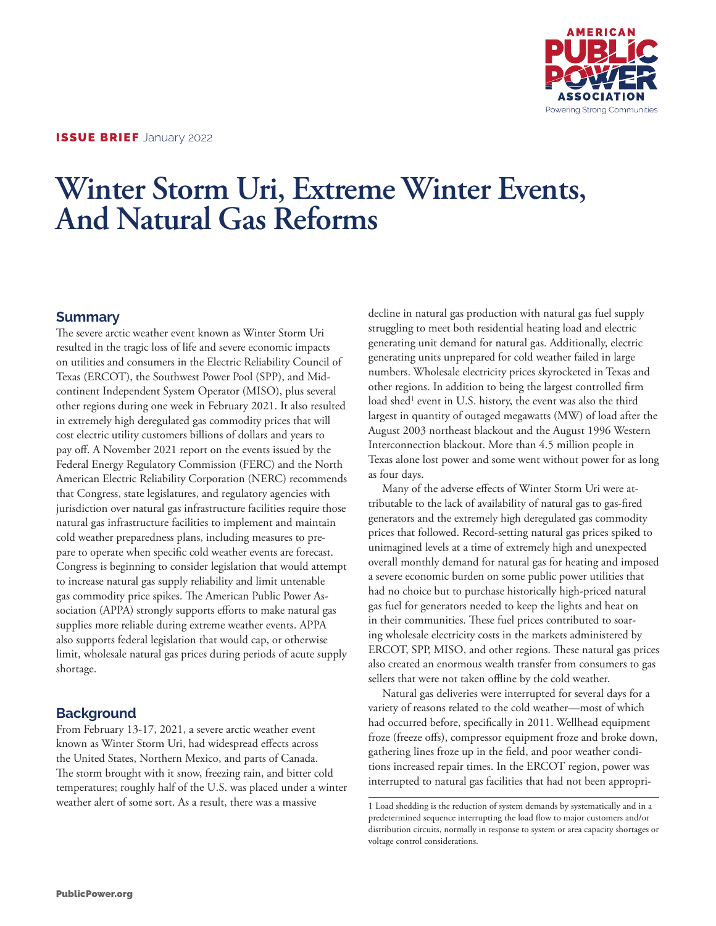

# **Winter Storm Uri, Extreme Winter Events, And Natural Gas Reforms**

### **Summary**

The severe arctic weather event known as Winter Storm Uri resulted in the tragic loss of life and severe economic impacts on utilities and consumers in the Electric Reliability Council of Texas (ERCOT), the Southwest Power Pool (SPP), and Midcontinent Independent System Operator (MISO), plus several other regions during one week in February 2021. It also resulted in extremely high deregulated gas commodity prices that will cost electric utility customers billions of dollars and years to pay off. A November 2021 report on the events issued by the Federal Energy Regulatory Commission (FERC) and the North American Electric Reliability Corporation (NERC) recommends that Congress, state legislatures, and regulatory agencies with jurisdiction over natural gas infrastructure facilities require those natural gas infrastructure facilities to implement and maintain cold weather preparedness plans, including measures to prepare to operate when specific cold weather events are forecast. Congress is beginning to consider legislation that would attempt to increase natural gas supply reliability and limit untenable gas commodity price spikes. The American Public Power Association (APPA) strongly supports efforts to make natural gas supplies more reliable during extreme weather events. APPA also supports federal legislation that would cap, or otherwise limit, wholesale natural gas prices during periods of acute supply shortage.

## **Background**

From February 13-17, 2021, a severe arctic weather event known as Winter Storm Uri, had widespread effects across the United States, Northern Mexico, and parts of Canada. The storm brought with it snow, freezing rain, and bitter cold temperatures; roughly half of the U.S. was placed under a winter weather alert of some sort. As a result, there was a massive

decline in natural gas production with natural gas fuel supply struggling to meet both residential heating load and electric generating unit demand for natural gas. Additionally, electric generating units unprepared for cold weather failed in large numbers. Wholesale electricity prices skyrocketed in Texas and other regions. In addition to being the largest controlled firm load shed<sup>1</sup> event in U.S. history, the event was also the third largest in quantity of outaged megawatts (MW) of load after the August 2003 northeast blackout and the August 1996 Western Interconnection blackout. More than 4.5 million people in Texas alone lost power and some went without power for as long as four days.

Many of the adverse effects of Winter Storm Uri were attributable to the lack of availability of natural gas to gas-fired generators and the extremely high deregulated gas commodity prices that followed. Record-setting natural gas prices spiked to unimagined levels at a time of extremely high and unexpected overall monthly demand for natural gas for heating and imposed a severe economic burden on some public power utilities that had no choice but to purchase historically high-priced natural gas fuel for generators needed to keep the lights and heat on in their communities. These fuel prices contributed to soaring wholesale electricity costs in the markets administered by ERCOT, SPP, MISO, and other regions. These natural gas prices also created an enormous wealth transfer from consumers to gas sellers that were not taken offline by the cold weather.

Natural gas deliveries were interrupted for several days for a variety of reasons related to the cold weather—most of which had occurred before, specifically in 2011. Wellhead equipment froze (freeze offs), compressor equipment froze and broke down, gathering lines froze up in the field, and poor weather conditions increased repair times. In the ERCOT region, power was interrupted to natural gas facilities that had not been appropri-

<sup>1</sup> Load shedding is the reduction of system demands by systematically and in a predetermined sequence interrupting the load flow to major customers and/or distribution circuits, normally in response to system or area capacity shortages or voltage control considerations.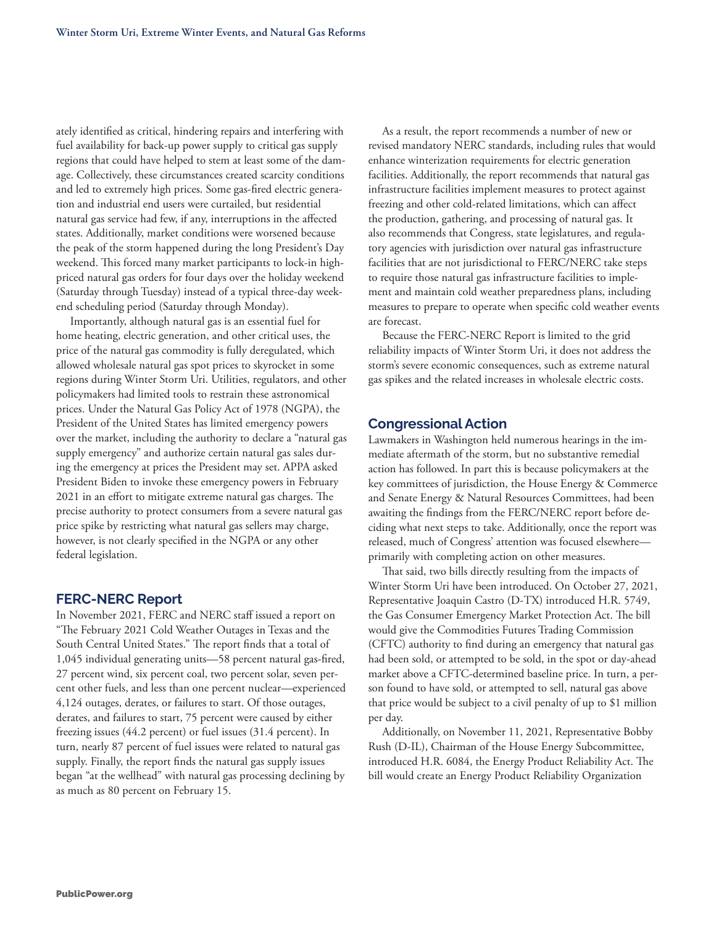ately identified as critical, hindering repairs and interfering with fuel availability for back-up power supply to critical gas supply regions that could have helped to stem at least some of the damage. Collectively, these circumstances created scarcity conditions and led to extremely high prices. Some gas-fired electric generation and industrial end users were curtailed, but residential natural gas service had few, if any, interruptions in the affected states. Additionally, market conditions were worsened because the peak of the storm happened during the long President's Day weekend. This forced many market participants to lock-in highpriced natural gas orders for four days over the holiday weekend (Saturday through Tuesday) instead of a typical three-day weekend scheduling period (Saturday through Monday).

Importantly, although natural gas is an essential fuel for home heating, electric generation, and other critical uses, the price of the natural gas commodity is fully deregulated, which allowed wholesale natural gas spot prices to skyrocket in some regions during Winter Storm Uri. Utilities, regulators, and other policymakers had limited tools to restrain these astronomical prices. Under the Natural Gas Policy Act of 1978 (NGPA), the President of the United States has limited emergency powers over the market, including the authority to declare a "natural gas supply emergency" and authorize certain natural gas sales during the emergency at prices the President may set. APPA asked President Biden to invoke these emergency powers in February 2021 in an effort to mitigate extreme natural gas charges. The precise authority to protect consumers from a severe natural gas price spike by restricting what natural gas sellers may charge, however, is not clearly specified in the NGPA or any other federal legislation.

#### **FERC-NERC Report**

In November 2021, FERC and NERC staff issued a report on "The February 2021 Cold Weather Outages in Texas and the South Central United States." The report finds that a total of 1,045 individual generating units—58 percent natural gas-fired, 27 percent wind, six percent coal, two percent solar, seven percent other fuels, and less than one percent nuclear—experienced 4,124 outages, derates, or failures to start. Of those outages, derates, and failures to start, 75 percent were caused by either freezing issues (44.2 percent) or fuel issues (31.4 percent). In turn, nearly 87 percent of fuel issues were related to natural gas supply. Finally, the report finds the natural gas supply issues began "at the wellhead" with natural gas processing declining by as much as 80 percent on February 15.

As a result, the report recommends a number of new or revised mandatory NERC standards, including rules that would enhance winterization requirements for electric generation facilities. Additionally, the report recommends that natural gas infrastructure facilities implement measures to protect against freezing and other cold-related limitations, which can affect the production, gathering, and processing of natural gas. It also recommends that Congress, state legislatures, and regulatory agencies with jurisdiction over natural gas infrastructure facilities that are not jurisdictional to FERC/NERC take steps to require those natural gas infrastructure facilities to implement and maintain cold weather preparedness plans, including measures to prepare to operate when specific cold weather events are forecast.

Because the FERC-NERC Report is limited to the grid reliability impacts of Winter Storm Uri, it does not address the storm's severe economic consequences, such as extreme natural gas spikes and the related increases in wholesale electric costs.

#### **Congressional Action**

Lawmakers in Washington held numerous hearings in the immediate aftermath of the storm, but no substantive remedial action has followed. In part this is because policymakers at the key committees of jurisdiction, the House Energy & Commerce and Senate Energy & Natural Resources Committees, had been awaiting the findings from the FERC/NERC report before deciding what next steps to take. Additionally, once the report was released, much of Congress' attention was focused elsewhere primarily with completing action on other measures.

That said, two bills directly resulting from the impacts of Winter Storm Uri have been introduced. On October 27, 2021, Representative Joaquin Castro (D-TX) introduced H.R. 5749, the Gas Consumer Emergency Market Protection Act. The bill would give the Commodities Futures Trading Commission (CFTC) authority to find during an emergency that natural gas had been sold, or attempted to be sold, in the spot or day-ahead market above a CFTC-determined baseline price. In turn, a person found to have sold, or attempted to sell, natural gas above that price would be subject to a civil penalty of up to \$1 million per day.

Additionally, on November 11, 2021, Representative Bobby Rush (D-IL), Chairman of the House Energy Subcommittee, introduced H.R. 6084, the Energy Product Reliability Act. The bill would create an Energy Product Reliability Organization